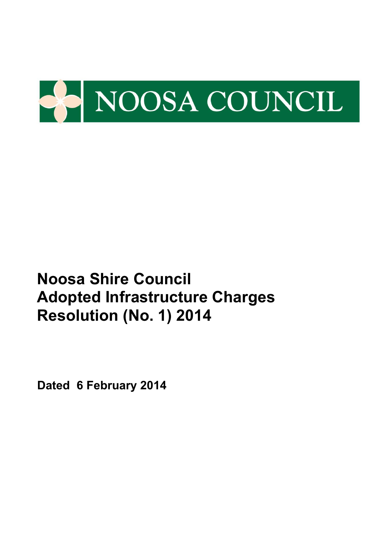

**Dated 6 February 2014**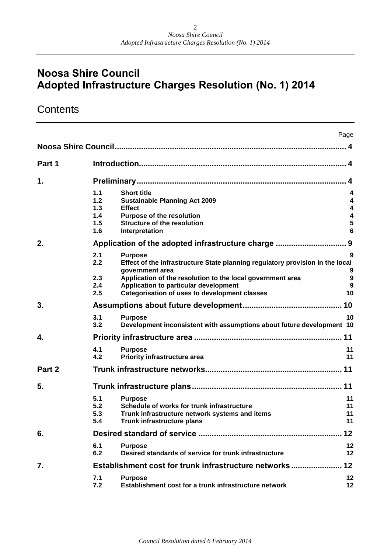# **Contents**

|        |                                        |                                                                                                                                                                                                                                                                                   | Page                                             |
|--------|----------------------------------------|-----------------------------------------------------------------------------------------------------------------------------------------------------------------------------------------------------------------------------------------------------------------------------------|--------------------------------------------------|
|        |                                        |                                                                                                                                                                                                                                                                                   |                                                  |
| Part 1 |                                        |                                                                                                                                                                                                                                                                                   |                                                  |
| 1.     |                                        |                                                                                                                                                                                                                                                                                   |                                                  |
|        | 1.1<br>1.2<br>1.3<br>1.4<br>1.5<br>1.6 | <b>Short title</b><br><b>Sustainable Planning Act 2009</b><br><b>Effect</b><br><b>Purpose of the resolution</b><br><b>Structure of the resolution</b><br>Interpretation                                                                                                           | 4<br>4<br>4<br>$\overline{\mathbf{4}}$<br>5<br>6 |
| 2.     |                                        |                                                                                                                                                                                                                                                                                   |                                                  |
|        | 2.1<br>2.2<br>2.3<br>2.4<br>2.5        | <b>Purpose</b><br>Effect of the infrastructure State planning regulatory provision in the local<br>government area<br>Application of the resolution to the local government area<br>Application to particular development<br><b>Categorisation of uses to development classes</b> | 9<br>9<br>9<br>9<br>10                           |
| 3.     |                                        |                                                                                                                                                                                                                                                                                   |                                                  |
|        | 3.1<br>3.2                             | <b>Purpose</b><br>Development inconsistent with assumptions about future development 10                                                                                                                                                                                           | 10                                               |
| 4.     |                                        |                                                                                                                                                                                                                                                                                   |                                                  |
|        | 4.1<br>4.2                             | <b>Purpose</b><br>Priority infrastructure area                                                                                                                                                                                                                                    | 11<br>11                                         |
| Part 2 |                                        |                                                                                                                                                                                                                                                                                   |                                                  |
| 5.     |                                        |                                                                                                                                                                                                                                                                                   |                                                  |
|        | 5.1<br>5.2<br>5.3<br>5.4               | <b>Purpose</b><br>Schedule of works for trunk infrastructure<br>Trunk infrastructure network systems and items<br>Trunk infrastructure plans                                                                                                                                      | 11<br>11<br>11<br>11                             |
| 6.     |                                        |                                                                                                                                                                                                                                                                                   | 12                                               |
|        | 6.1<br>6.2                             | <b>Purpose</b><br>Desired standards of service for trunk infrastructure                                                                                                                                                                                                           | 12<br>12                                         |
| 7.     |                                        | Establishment cost for trunk infrastructure networks                                                                                                                                                                                                                              | $12 \,$                                          |
|        | 7.1<br>7.2                             | <b>Purpose</b><br>Establishment cost for a trunk infrastructure network                                                                                                                                                                                                           | 12<br>12                                         |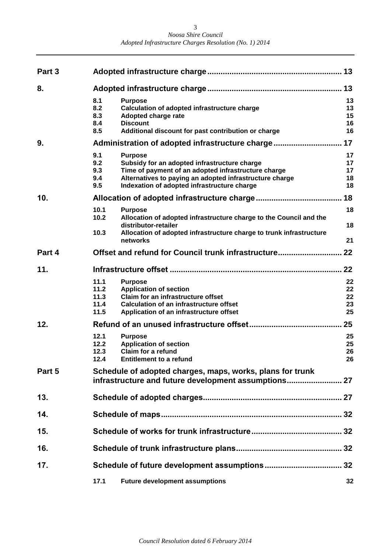| Noosa Shire Council                                    |  |
|--------------------------------------------------------|--|
| Adopted Infrastructure Charges Resolution (No. 1) 2014 |  |

| Part 3 |                                      |                                                                                                                                                                                                                                 | 13                         |  |  |  |
|--------|--------------------------------------|---------------------------------------------------------------------------------------------------------------------------------------------------------------------------------------------------------------------------------|----------------------------|--|--|--|
| 8.     |                                      |                                                                                                                                                                                                                                 | 13                         |  |  |  |
|        | 8.1<br>8.2<br>8.3<br>8.4<br>8.5      | <b>Purpose</b><br>Calculation of adopted infrastructure charge<br>Adopted charge rate<br><b>Discount</b><br>Additional discount for past contribution or charge                                                                 | 13<br>13<br>15<br>16<br>16 |  |  |  |
| 9.     |                                      | Administration of adopted infrastructure charge                                                                                                                                                                                 | 17                         |  |  |  |
|        | 9.1<br>9.2<br>9.3<br>9.4<br>9.5      | <b>Purpose</b><br>Subsidy for an adopted infrastructure charge<br>Time of payment of an adopted infrastructure charge<br>Alternatives to paying an adopted infrastructure charge<br>Indexation of adopted infrastructure charge | 17<br>17<br>17<br>18<br>18 |  |  |  |
| 10.    |                                      |                                                                                                                                                                                                                                 | 18                         |  |  |  |
|        | 10.1<br>10.2<br>10.3                 | <b>Purpose</b><br>Allocation of adopted infrastructure charge to the Council and the<br>distributor-retailer<br>Allocation of adopted infrastructure charge to trunk infrastructure<br>networks                                 | 18<br>18<br>21             |  |  |  |
| Part 4 |                                      | Offset and refund for Council trunk infrastructure                                                                                                                                                                              | 22                         |  |  |  |
| 11.    |                                      |                                                                                                                                                                                                                                 | 22                         |  |  |  |
|        | 11.1<br>11.2<br>11.3<br>11.4<br>11.5 | <b>Purpose</b><br><b>Application of section</b><br>Claim for an infrastructure offset<br><b>Calculation of an infrastructure offset</b><br>Application of an infrastructure offset                                              | 22<br>22<br>22<br>23<br>25 |  |  |  |
| 12.    |                                      |                                                                                                                                                                                                                                 | 25                         |  |  |  |
|        | 12.1<br>12.2<br>12.3<br>12.4         | <b>Purpose</b><br><b>Application of section</b><br>Claim for a refund<br><b>Entitlement to a refund</b>                                                                                                                         | 25<br>25<br>26<br>26       |  |  |  |
| Part 5 |                                      | Schedule of adopted charges, maps, works, plans for trunk                                                                                                                                                                       |                            |  |  |  |
| 13.    |                                      |                                                                                                                                                                                                                                 |                            |  |  |  |
| 14.    |                                      |                                                                                                                                                                                                                                 |                            |  |  |  |
| 15.    |                                      |                                                                                                                                                                                                                                 |                            |  |  |  |
| 16.    |                                      |                                                                                                                                                                                                                                 |                            |  |  |  |
| 17.    |                                      |                                                                                                                                                                                                                                 | 32                         |  |  |  |
|        | 17.1                                 | <b>Future development assumptions</b>                                                                                                                                                                                           | 32                         |  |  |  |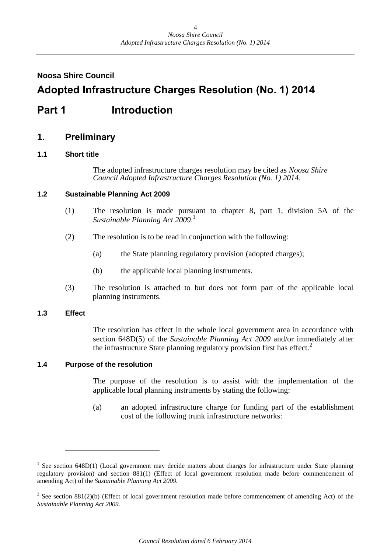### <span id="page-3-0"></span>**Noosa Shire Council**

# **Adopted Infrastructure Charges Resolution (No. 1) 2014**

# <span id="page-3-1"></span>**Part 1 Introduction**

### <span id="page-3-2"></span>**1. Preliminary**

### <span id="page-3-3"></span>**1.1 Short title**

The adopted infrastructure charges resolution may be cited as *Noosa Shire Council Adopted Infrastructure Charges Resolution (No. 1) 2014*.

### <span id="page-3-4"></span>**1.2 Sustainable Planning Act 2009**

- (1) The resolution is made pursuant to chapter 8, part 1, division 5A of the *Sustainable Planning Act 2009*. 1
- (2) The resolution is to be read in conjunction with the following:
	- (a) the State planning regulatory provision (adopted charges);
	- (b) the applicable local planning instruments.
- (3) The resolution is attached to but does not form part of the applicable local planning instruments.

### <span id="page-3-5"></span>**1.3 Effect**

The resolution has effect in the whole local government area in accordance with section 648D(5) of the *Sustainable Planning Act 2009* and/or immediately after the infrastructure State planning regulatory provision first has effect.<sup>2</sup>

### <span id="page-3-6"></span>**1.4 Purpose of the resolution**

The purpose of the resolution is to assist with the implementation of the applicable local planning instruments by stating the following:

(a) an adopted infrastructure charge for funding part of the establishment cost of the following trunk infrastructure networks:

<sup>&</sup>lt;sup>1</sup> See section 648D(1) (Local government may decide matters about charges for infrastructure under State planning regulatory provision) and section 881(1) (Effect of local government resolution made before commencement of amending Act) of the *Sustainable Planning Act 2009.*

<sup>&</sup>lt;sup>2</sup> See section 881(2)(b) (Effect of local government resolution made before commencement of amending Act) of the *Sustainable Planning Act 2009.*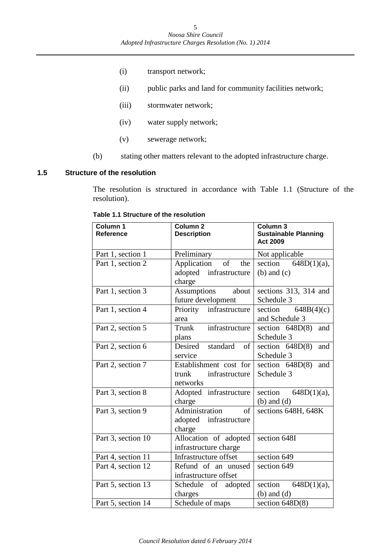- (i) transport network;
- (ii) public parks and land for community facilities network;
- (iii) stormwater network;
- (iv) water supply network;
- (v) sewerage network;
- (b) stating other matters relevant to the adopted infrastructure charge.

### <span id="page-4-0"></span>**1.5 Structure of the resolution**

The resolution is structured in accordance with Table 1.1 (Structure of the resolution).

| Column 1<br><b>Reference</b> | Column <sub>2</sub><br><b>Description</b> | Column 3<br><b>Sustainable Planning</b><br><b>Act 2009</b> |
|------------------------------|-------------------------------------------|------------------------------------------------------------|
| Part 1, section 1            | Preliminary                               | Not applicable                                             |
| Part 1, section 2            | of<br>Application<br>the                  | section $648D(1)(a)$ ,                                     |
|                              | adopted infrastructure<br>charge          | $(b)$ and $(c)$                                            |
| Part 1, section 3            | <b>Assumptions</b><br>about               | sections 313, 314 and                                      |
|                              | future development                        | Schedule 3                                                 |
| Part 1, section 4            | Priority infrastructure                   | 648B(4)(c)<br>section                                      |
|                              | area                                      | and Schedule 3                                             |
| Part 2, section 5            | infrastructure<br>Trunk                   | section $648D(8)$<br>and                                   |
|                              | plans                                     | Schedule 3                                                 |
| Part 2, section 6            | Desired standard<br>of                    | section $648D(8)$<br>and                                   |
|                              | service                                   | Schedule 3                                                 |
| Part 2, section 7            | Establishment cost for                    | section $648D(8)$<br>and                                   |
|                              | infrastructure<br>trunk                   | Schedule 3                                                 |
|                              | networks                                  |                                                            |
| Part 3, section 8            | Adopted infrastructure                    | section<br>$648D(1)(a)$ ,                                  |
|                              | charge                                    | $(b)$ and $(d)$                                            |
| Part 3, section 9            | Administration<br>of                      | sections 648H, 648K                                        |
|                              | adopted infrastructure                    |                                                            |
|                              | charge                                    |                                                            |
| Part 3, section 10           | Allocation of adopted                     | section 648I                                               |
|                              | infrastructure charge                     |                                                            |
| Part 4, section 11           | Infrastructure offset                     | section 649                                                |
| Part 4, section 12           | Refund of an unused                       | section 649                                                |
|                              | infrastructure offset                     |                                                            |
| Part 5, section 13           | Schedule of adopted                       | section $648D(1)(a)$ ,                                     |
|                              | charges                                   | $(b)$ and $(d)$                                            |
| Part 5, section 14           | Schedule of maps                          | section $648D(8)$                                          |

**Table 1.1 Structure of the resolution**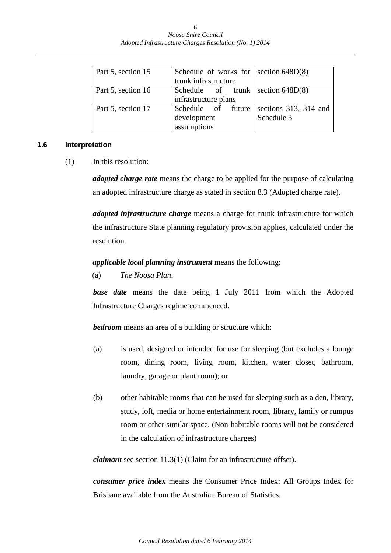| Part 5, section 15 | Schedule of works for   section $648D(8)$ |            |
|--------------------|-------------------------------------------|------------|
|                    | trunk infrastructure                      |            |
| Part 5, section 16 | Schedule of trunk section $648D(8)$       |            |
|                    | infrastructure plans                      |            |
| Part 5, section 17 | Schedule of future sections 313, 314 and  |            |
|                    | development                               | Schedule 3 |
|                    | assumptions                               |            |

### <span id="page-5-0"></span>**1.6 Interpretation**

(1) In this resolution:

*adopted charge rate* means the charge to be applied for the purpose of calculating an adopted infrastructure charge as stated in section 8.3 (Adopted charge rate).

*adopted infrastructure charge* means a charge for trunk infrastructure for which the infrastructure State planning regulatory provision applies, calculated under the resolution.

### *applicable local planning instrument* means the following:

(a) *The Noosa Plan*.

*base date* means the date being 1 July 2011 from which the Adopted Infrastructure Charges regime commenced.

*bedroom* means an area of a building or structure which:

- (a) is used, designed or intended for use for sleeping (but excludes a lounge room, dining room, living room, kitchen, water closet, bathroom, laundry, garage or plant room); or
- (b) other habitable rooms that can be used for sleeping such as a den, library, study, loft, media or home entertainment room, library, family or rumpus room or other similar space. (Non-habitable rooms will not be considered in the calculation of infrastructure charges)

*claimant* see section 11.3(1) (Claim for an infrastructure offset).

*consumer price index* means the Consumer Price Index: All Groups Index for Brisbane available from the Australian Bureau of Statistics.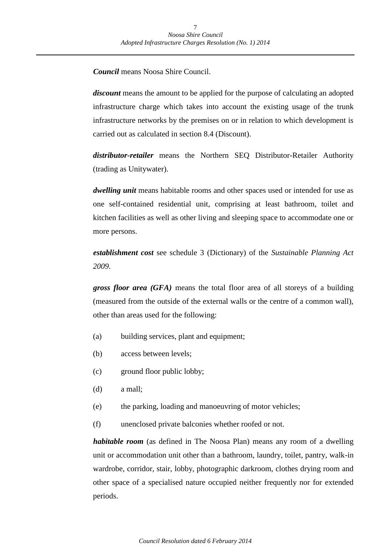*Council* means Noosa Shire Council.

*discount* means the amount to be applied for the purpose of calculating an adopted infrastructure charge which takes into account the existing usage of the trunk infrastructure networks by the premises on or in relation to which development is carried out as calculated in section 8.4 (Discount).

*distributor-retailer* means the Northern SEQ Distributor-Retailer Authority (trading as Unitywater).

*dwelling unit* means habitable rooms and other spaces used or intended for use as one self-contained residential unit, comprising at least bathroom, toilet and kitchen facilities as well as other living and sleeping space to accommodate one or more persons.

*establishment cost* see schedule 3 (Dictionary) of the *Sustainable Planning Act 2009*.

*gross floor area (GFA)* means the total floor area of all storeys of a building (measured from the outside of the external walls or the centre of a common wall), other than areas used for the following:

- (a) building services, plant and equipment;
- (b) access between levels;
- (c) ground floor public lobby;
- (d) a mall;
- (e) the parking, loading and manoeuvring of motor vehicles;
- (f) unenclosed private balconies whether roofed or not.

*habitable room* (as defined in The Noosa Plan) means any room of a dwelling unit or accommodation unit other than a bathroom, laundry, toilet, pantry, walk-in wardrobe, corridor, stair, lobby, photographic darkroom, clothes drying room and other space of a specialised nature occupied neither frequently nor for extended periods.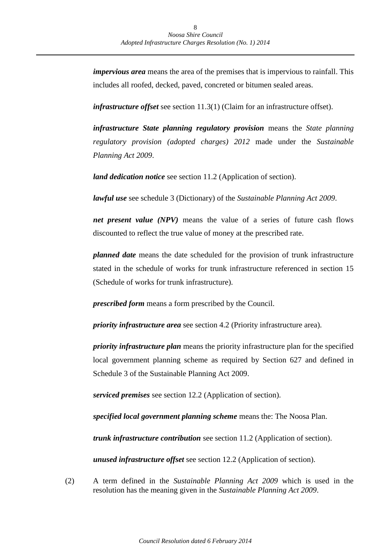*impervious area* means the area of the premises that is impervious to rainfall. This includes all roofed, decked, paved, concreted or bitumen sealed areas.

*infrastructure offset* see section 11.3(1) (Claim for an infrastructure offset).

*infrastructure State planning regulatory provision* means the *State planning regulatory provision (adopted charges) 2012* made under the *Sustainable Planning Act 2009*.

*land dedication notice* see section 11.2 (Application of section).

*lawful use* see schedule 3 (Dictionary) of the *Sustainable Planning Act 2009*.

*net present value (NPV)* means the value of a series of future cash flows discounted to reflect the true value of money at the prescribed rate.

*planned date* means the date scheduled for the provision of trunk infrastructure stated in the schedule of works for trunk infrastructure referenced in section 15 (Schedule of works for trunk infrastructure).

*prescribed form* means a form prescribed by the Council.

*priority infrastructure area* see section 4.2 (Priority infrastructure area).

*priority infrastructure plan* means the priority infrastructure plan for the specified local government planning scheme as required by Section 627 and defined in Schedule 3 of the Sustainable Planning Act 2009.

*serviced premises* see section 12.2 (Application of section).

*specified local government planning scheme* means the: The Noosa Plan.

*trunk infrastructure contribution* see section 11.2 (Application of section).

*unused infrastructure offset* see section 12.2 (Application of section).

(2) A term defined in the *Sustainable Planning Act 2009* which is used in the resolution has the meaning given in the *Sustainable Planning Act 2009*.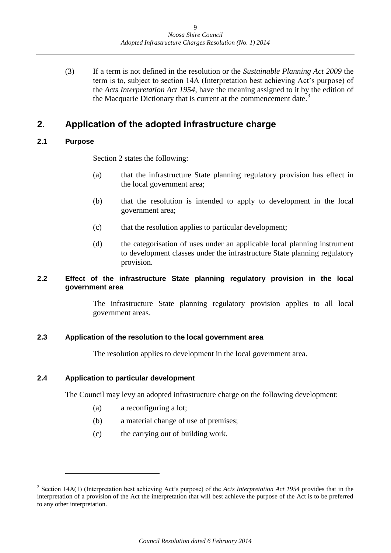(3) If a term is not defined in the resolution or the *Sustainable Planning Act 2009* the term is to, subject to section 14A (Interpretation best achieving Act's purpose) of the *Acts Interpretation Act 1954*, have the meaning assigned to it by the edition of the Macquarie Dictionary that is current at the commencement date.<sup>3</sup>

### <span id="page-8-0"></span>**2. Application of the adopted infrastructure charge**

### <span id="page-8-1"></span>**2.1 Purpose**

Section 2 states the following:

- (a) that the infrastructure State planning regulatory provision has effect in the local government area;
- (b) that the resolution is intended to apply to development in the local government area;
- (c) that the resolution applies to particular development;
- (d) the categorisation of uses under an applicable local planning instrument to development classes under the infrastructure State planning regulatory provision.

### <span id="page-8-2"></span>**2.2 Effect of the infrastructure State planning regulatory provision in the local government area**

The infrastructure State planning regulatory provision applies to all local government areas.

### <span id="page-8-3"></span>**2.3 Application of the resolution to the local government area**

The resolution applies to development in the local government area.

### <span id="page-8-4"></span>**2.4 Application to particular development**

The Council may levy an adopted infrastructure charge on the following development:

- (a) a reconfiguring a lot;
- (b) a material change of use of premises;
- (c) the carrying out of building work.

<sup>3</sup> Section 14A(1) (Interpretation best achieving Act's purpose) of the *Acts Interpretation Act 1954* provides that in the interpretation of a provision of the Act the interpretation that will best achieve the purpose of the Act is to be preferred to any other interpretation.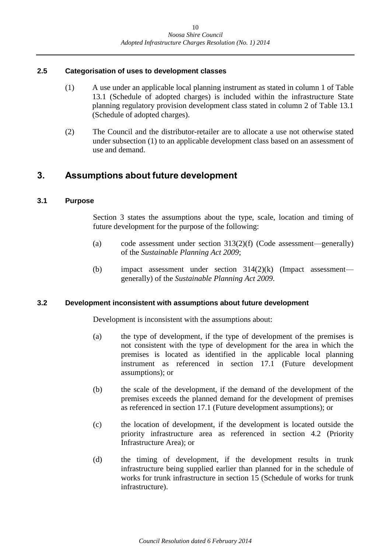### <span id="page-9-0"></span>**2.5 Categorisation of uses to development classes**

- (1) A use under an applicable local planning instrument as stated in column 1 of Table 13.1 (Schedule of adopted charges) is included within the infrastructure State planning regulatory provision development class stated in column 2 of Table 13.1 (Schedule of adopted charges).
- (2) The Council and the distributor-retailer are to allocate a use not otherwise stated under subsection (1) to an applicable development class based on an assessment of use and demand.

### <span id="page-9-1"></span>**3. Assumptions about future development**

### <span id="page-9-2"></span>**3.1 Purpose**

Section 3 states the assumptions about the type, scale, location and timing of future development for the purpose of the following:

- (a) code assessment under section 313(2)(f) (Code assessment—generally) of the *Sustainable Planning Act 2009*;
- (b) impact assessment under section 314(2)(k) (Impact assessment generally) of the *Sustainable Planning Act 2009*.

### <span id="page-9-3"></span>**3.2 Development inconsistent with assumptions about future development**

Development is inconsistent with the assumptions about:

- (a) the type of development, if the type of development of the premises is not consistent with the type of development for the area in which the premises is located as identified in the applicable local planning instrument as referenced in section 17.1 (Future development assumptions); or
- (b) the scale of the development, if the demand of the development of the premises exceeds the planned demand for the development of premises as referenced in section 17.1 (Future development assumptions); or
- (c) the location of development, if the development is located outside the priority infrastructure area as referenced in section 4.2 (Priority Infrastructure Area); or
- (d) the timing of development, if the development results in trunk infrastructure being supplied earlier than planned for in the schedule of works for trunk infrastructure in section 15 (Schedule of works for trunk infrastructure).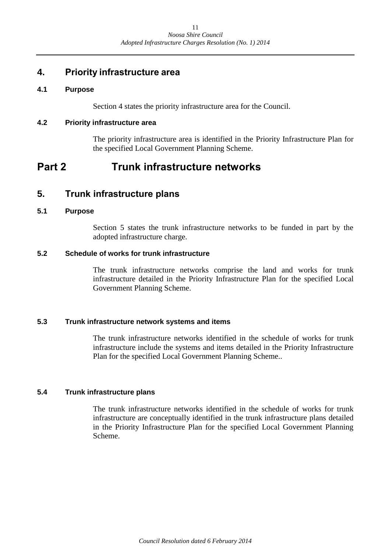### <span id="page-10-0"></span>**4. Priority infrastructure area**

### <span id="page-10-1"></span>**4.1 Purpose**

Section 4 states the priority infrastructure area for the Council.

### <span id="page-10-2"></span>**4.2 Priority infrastructure area**

The priority infrastructure area is identified in the Priority Infrastructure Plan for the specified Local Government Planning Scheme.

# <span id="page-10-3"></span>**Part 2 Trunk infrastructure networks**

### <span id="page-10-4"></span>**5. Trunk infrastructure plans**

### <span id="page-10-5"></span>**5.1 Purpose**

Section 5 states the trunk infrastructure networks to be funded in part by the adopted infrastructure charge.

### <span id="page-10-6"></span>**5.2 Schedule of works for trunk infrastructure**

The trunk infrastructure networks comprise the land and works for trunk infrastructure detailed in the Priority Infrastructure Plan for the specified Local Government Planning Scheme.

### <span id="page-10-7"></span>**5.3 Trunk infrastructure network systems and items**

The trunk infrastructure networks identified in the schedule of works for trunk infrastructure include the systems and items detailed in the Priority Infrastructure Plan for the specified Local Government Planning Scheme..

### <span id="page-10-8"></span>**5.4 Trunk infrastructure plans**

The trunk infrastructure networks identified in the schedule of works for trunk infrastructure are conceptually identified in the trunk infrastructure plans detailed in the Priority Infrastructure Plan for the specified Local Government Planning Scheme.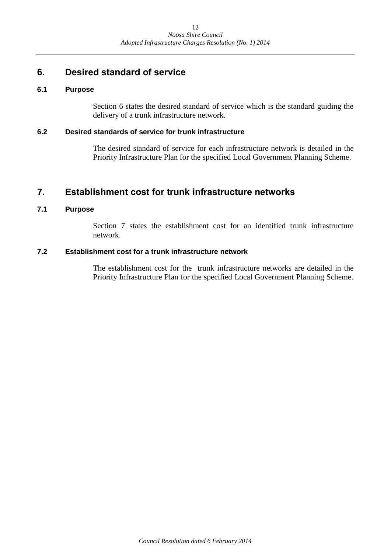### <span id="page-11-0"></span>**6. Desired standard of service**

### <span id="page-11-1"></span>**6.1 Purpose**

Section 6 states the desired standard of service which is the standard guiding the delivery of a trunk infrastructure network.

### <span id="page-11-2"></span>**6.2 Desired standards of service for trunk infrastructure**

The desired standard of service for each infrastructure network is detailed in the Priority Infrastructure Plan for the specified Local Government Planning Scheme.

### <span id="page-11-3"></span>**7. Establishment cost for trunk infrastructure networks**

### <span id="page-11-4"></span>**7.1 Purpose**

Section 7 states the establishment cost for an identified trunk infrastructure network.

### <span id="page-11-5"></span>**7.2 Establishment cost for a trunk infrastructure network**

The establishment cost for the trunk infrastructure networks are detailed in the Priority Infrastructure Plan for the specified Local Government Planning Scheme.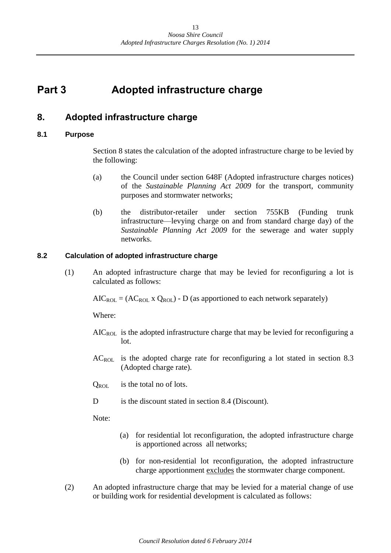# <span id="page-12-0"></span>**Part 3 Adopted infrastructure charge**

### <span id="page-12-1"></span>**8. Adopted infrastructure charge**

### <span id="page-12-2"></span>**8.1 Purpose**

Section 8 states the calculation of the adopted infrastructure charge to be levied by the following:

- (a) the Council under section 648F (Adopted infrastructure charges notices) of the *Sustainable Planning Act 2009* for the transport, community purposes and stormwater networks;
- (b) the distributor-retailer under section 755KB (Funding trunk infrastructure—levying charge on and from standard charge day) of the *Sustainable Planning Act 2009* for the sewerage and water supply networks.

### <span id="page-12-3"></span>**8.2 Calculation of adopted infrastructure charge**

(1) An adopted infrastructure charge that may be levied for reconfiguring a lot is calculated as follows:

 $AIC_{ROI} = (AC_{ROI} \times Q_{ROI}) - D$  (as apportioned to each network separately)

Where:

- $AIC_{ROL}$  is the adopted infrastructure charge that may be levied for reconfiguring a lot.
- ACROL is the adopted charge rate for reconfiguring a lot stated in section 8.3 (Adopted charge rate).
- $Q_{\text{ROI}}$  is the total no of lots.
- D is the discount stated in section 8.4 (Discount).

Note:

- (a) for residential lot reconfiguration, the adopted infrastructure charge is apportioned across all networks;
- (b) for non-residential lot reconfiguration, the adopted infrastructure charge apportionment excludes the stormwater charge component.
- (2) An adopted infrastructure charge that may be levied for a material change of use or building work for residential development is calculated as follows: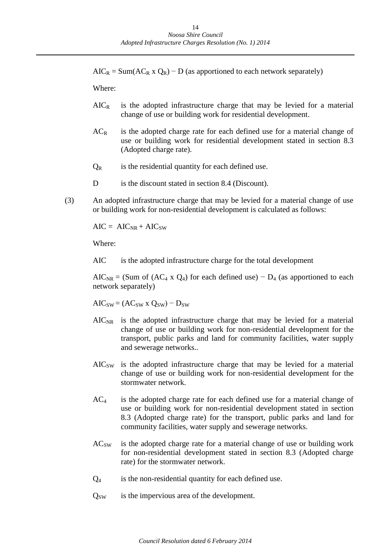$AIC_R = Sum(AC_R \times Q_R) - D$  (as apportioned to each network separately)

Where:

- $AIC<sub>R</sub>$  is the adopted infrastructure charge that may be levied for a material change of use or building work for residential development.
- $AC<sub>R</sub>$  is the adopted charge rate for each defined use for a material change of use or building work for residential development stated in section 8.3 (Adopted charge rate).
- $Q_R$  is the residential quantity for each defined use.
- D is the discount stated in section 8.4 (Discount).
- (3) An adopted infrastructure charge that may be levied for a material change of use or building work for non-residential development is calculated as follows:

 $AIC = AIC_{NR} + AIC_{SW}$ 

Where:

AIC is the adopted infrastructure charge for the total development

AIC<sub>NR</sub> = (Sum of (AC<sub>4</sub> x Q<sub>4</sub>) for each defined use) –  $D_4$  (as apportioned to each network separately)

 $AIC_{SW} = (AC_{SW} \times Q_{SW}) - D_{SW}$ 

- $AIC_{NR}$  is the adopted infrastructure charge that may be levied for a material change of use or building work for non-residential development for the transport, public parks and land for community facilities, water supply and sewerage networks..
- AICSW is the adopted infrastructure charge that may be levied for a material change of use or building work for non-residential development for the stormwater network.
- $AC<sub>4</sub>$  is the adopted charge rate for each defined use for a material change of use or building work for non-residential development stated in section 8.3 (Adopted charge rate) for the transport, public parks and land for community facilities, water supply and sewerage networks.
- AC<sub>SW</sub> is the adopted charge rate for a material change of use or building work for non-residential development stated in section 8.3 (Adopted charge rate) for the stormwater network.
- $Q_4$  is the non-residential quantity for each defined use.
- $Q_{SW}$  is the impervious area of the development.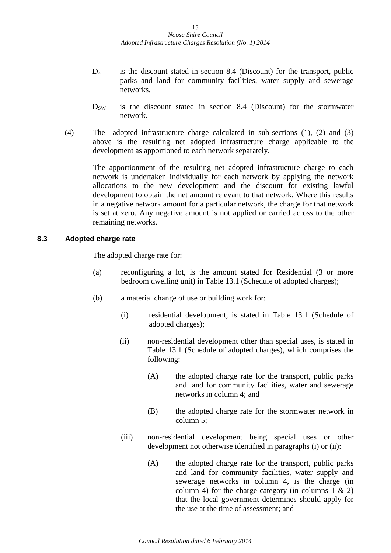- $D_4$  is the discount stated in section 8.4 (Discount) for the transport, public parks and land for community facilities, water supply and sewerage networks.
- $D_{SW}$  is the discount stated in section 8.4 (Discount) for the stormwater network.
- (4) The adopted infrastructure charge calculated in sub-sections (1), (2) and (3) above is the resulting net adopted infrastructure charge applicable to the development as apportioned to each network separately.

The apportionment of the resulting net adopted infrastructure charge to each network is undertaken individually for each network by applying the network allocations to the new development and the discount for existing lawful development to obtain the net amount relevant to that network. Where this results in a negative network amount for a particular network, the charge for that network is set at zero. Any negative amount is not applied or carried across to the other remaining networks.

### <span id="page-14-0"></span>**8.3 Adopted charge rate**

The adopted charge rate for:

- (a) reconfiguring a lot, is the amount stated for Residential (3 or more bedroom dwelling unit) in Table 13.1 (Schedule of adopted charges);
- (b) a material change of use or building work for:
	- (i) residential development, is stated in Table 13.1 (Schedule of adopted charges);
	- (ii) non-residential development other than special uses, is stated in Table 13.1 (Schedule of adopted charges), which comprises the following:
		- (A) the adopted charge rate for the transport, public parks and land for community facilities, water and sewerage networks in column 4; and
		- (B) the adopted charge rate for the stormwater network in column 5;
	- (iii) non-residential development being special uses or other development not otherwise identified in paragraphs (i) or (ii):
		- (A) the adopted charge rate for the transport, public parks and land for community facilities, water supply and sewerage networks in column 4, is the charge (in column 4) for the charge category (in columns  $1 \& 2$ ) that the local government determines should apply for the use at the time of assessment; and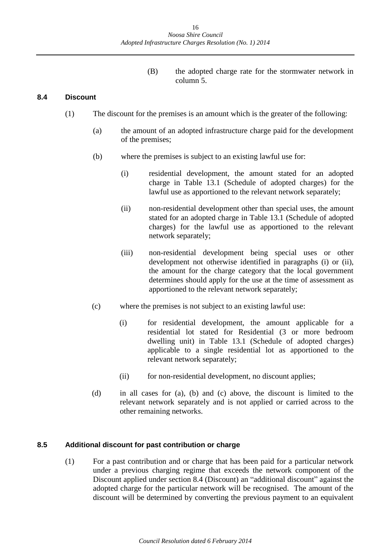(B) the adopted charge rate for the stormwater network in column 5.

### <span id="page-15-0"></span>**8.4 Discount**

- (1) The discount for the premises is an amount which is the greater of the following:
	- (a) the amount of an adopted infrastructure charge paid for the development of the premises;
	- (b) where the premises is subject to an existing lawful use for:
		- (i) residential development, the amount stated for an adopted charge in Table 13.1 (Schedule of adopted charges) for the lawful use as apportioned to the relevant network separately;
		- (ii) non-residential development other than special uses, the amount stated for an adopted charge in Table 13.1 (Schedule of adopted charges) for the lawful use as apportioned to the relevant network separately;
		- (iii) non-residential development being special uses or other development not otherwise identified in paragraphs (i) or (ii), the amount for the charge category that the local government determines should apply for the use at the time of assessment as apportioned to the relevant network separately;
	- (c) where the premises is not subject to an existing lawful use:
		- (i) for residential development, the amount applicable for a residential lot stated for Residential (3 or more bedroom dwelling unit) in Table 13.1 (Schedule of adopted charges) applicable to a single residential lot as apportioned to the relevant network separately;
		- (ii) for non-residential development, no discount applies;
	- (d) in all cases for (a), (b) and (c) above, the discount is limited to the relevant network separately and is not applied or carried across to the other remaining networks.

### <span id="page-15-1"></span>**8.5 Additional discount for past contribution or charge**

(1) For a past contribution and or charge that has been paid for a particular network under a previous charging regime that exceeds the network component of the Discount applied under section 8.4 (Discount) an "additional discount" against the adopted charge for the particular network will be recognised. The amount of the discount will be determined by converting the previous payment to an equivalent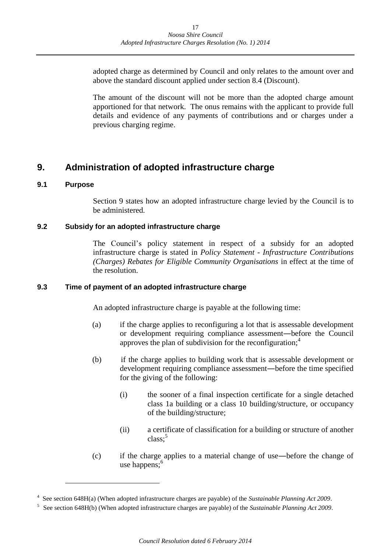adopted charge as determined by Council and only relates to the amount over and above the standard discount applied under section 8.4 (Discount).

The amount of the discount will not be more than the adopted charge amount apportioned for that network. The onus remains with the applicant to provide full details and evidence of any payments of contributions and or charges under a previous charging regime.

### <span id="page-16-0"></span>**9. Administration of adopted infrastructure charge**

### <span id="page-16-1"></span>**9.1 Purpose**

Section 9 states how an adopted infrastructure charge levied by the Council is to be administered.

### <span id="page-16-2"></span>**9.2 Subsidy for an adopted infrastructure charge**

The Council's policy statement in respect of a subsidy for an adopted infrastructure charge is stated in *Policy Statement - Infrastructure Contributions (Charges) Rebates for Eligible Community Organisations* in effect at the time of the resolution.

### <span id="page-16-3"></span>**9.3 Time of payment of an adopted infrastructure charge**

An adopted infrastructure charge is payable at the following time:

- (a) if the charge applies to reconfiguring a lot that is assessable development or development requiring compliance assessment―before the Council approves the plan of subdivision for the reconfiguration; $<sup>4</sup>$ </sup>
- (b) if the charge applies to building work that is assessable development or development requiring compliance assessment―before the time specified for the giving of the following:
	- (i) the sooner of a final inspection certificate for a single detached class 1a building or a class 10 building/structure, or occupancy of the building/structure;
	- (ii) a certificate of classification for a building or structure of another class;<sup>5</sup>
- (c) if the charge applies to a material change of use―before the change of use happens; $<sup>6</sup>$ </sup>

<sup>4</sup> See section 648H(a) (When adopted infrastructure charges are payable) of the *Sustainable Planning Act 2009*.

<sup>5</sup> See section 648H(b) (When adopted infrastructure charges are payable) of the *Sustainable Planning Act 2009*.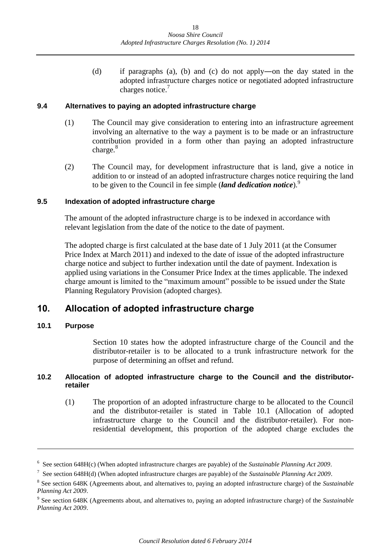(d) if paragraphs (a), (b) and (c) do not apply―on the day stated in the adopted infrastructure charges notice or negotiated adopted infrastructure charges notice.<sup>7</sup>

### <span id="page-17-0"></span>**9.4 Alternatives to paying an adopted infrastructure charge**

- (1) The Council may give consideration to entering into an infrastructure agreement involving an alternative to the way a payment is to be made or an infrastructure contribution provided in a form other than paying an adopted infrastructure charge. $8$
- (2) The Council may, for development infrastructure that is land, give a notice in addition to or instead of an adopted infrastructure charges notice requiring the land to be given to the Council in fee simple (*land dedication notice*).<sup>9</sup>

### <span id="page-17-1"></span>**9.5 Indexation of adopted infrastructure charge**

The amount of the adopted infrastructure charge is to be indexed in accordance with relevant legislation from the date of the notice to the date of payment.

The adopted charge is first calculated at the base date of 1 July 2011 (at the Consumer Price Index at March 2011) and indexed to the date of issue of the adopted infrastructure charge notice and subject to further indexation until the date of payment. Indexation is applied using variations in the Consumer Price Index at the times applicable. The indexed charge amount is limited to the "maximum amount" possible to be issued under the State Planning Regulatory Provision (adopted charges).

### <span id="page-17-2"></span>**10. Allocation of adopted infrastructure charge**

### <span id="page-17-3"></span>**10.1 Purpose**

<u>.</u>

Section 10 states how the adopted infrastructure charge of the Council and the distributor-retailer is to be allocated to a trunk infrastructure network for the purpose of determining an offset and refund.

### <span id="page-17-4"></span>**10.2 Allocation of adopted infrastructure charge to the Council and the distributorretailer**

(1) The proportion of an adopted infrastructure charge to be allocated to the Council and the distributor-retailer is stated in Table 10.1 (Allocation of adopted infrastructure charge to the Council and the distributor-retailer). For nonresidential development, this proportion of the adopted charge excludes the

<sup>6</sup> See section 648H(c) (When adopted infrastructure charges are payable) of the *Sustainable Planning Act 2009*.

<sup>7</sup> See section 648H(d) (When adopted infrastructure charges are payable) of the *Sustainable Planning Act 2009*.

<sup>8</sup> See section 648K (Agreements about, and alternatives to, paying an adopted infrastructure charge) of the *Sustainable Planning Act 2009*.

<sup>9</sup> See section 648K (Agreements about, and alternatives to, paying an adopted infrastructure charge) of the *Sustainable Planning Act 2009*.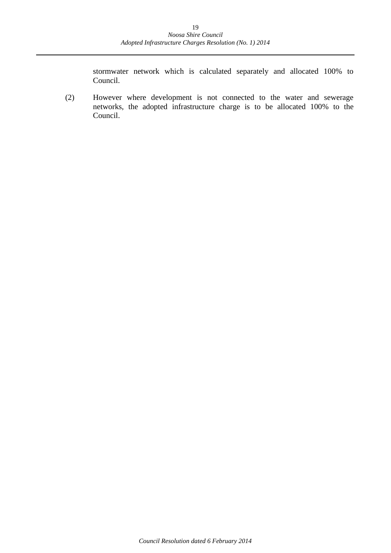stormwater network which is calculated separately and allocated 100% to Council.

(2) However where development is not connected to the water and sewerage networks, the adopted infrastructure charge is to be allocated 100% to the Council.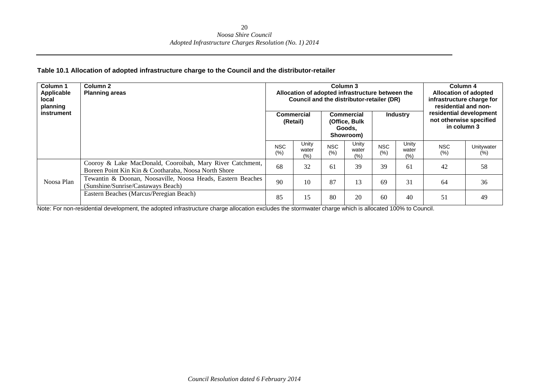#### **Table 10.1 Allocation of adopted infrastructure charge to the Council and the distributor-retailer**

| <b>Column 1</b><br>Applicable<br>local<br>planning<br>instrument |            | Column 2<br><b>Planning areas</b>                                                                                 |                   | Commercial<br>(Retail) |              | Column 3<br>Allocation of adopted infrastructure between the<br>Council and the distributor-retailer (DR)<br><b>Commercial</b><br>(Office, Bulk<br>Goods.<br>Showroom) |                   | Column 4<br><b>Allocation of adopted</b><br>infrastructure charge for<br>residential and non-<br>residential development<br><b>Industry</b><br>not otherwise specified<br>in column 3 |                   |                      |
|------------------------------------------------------------------|------------|-------------------------------------------------------------------------------------------------------------------|-------------------|------------------------|--------------|------------------------------------------------------------------------------------------------------------------------------------------------------------------------|-------------------|---------------------------------------------------------------------------------------------------------------------------------------------------------------------------------------|-------------------|----------------------|
|                                                                  |            |                                                                                                                   | <b>NSC</b><br>(%) | Unity<br>water<br>(% ) | NSC.<br>(% ) | Unity<br>water<br>(% )                                                                                                                                                 | <b>NSC</b><br>(%) | Unity<br>water<br>$(\% )$                                                                                                                                                             | <b>NSC</b><br>(%) | Unitywater<br>$(\%)$ |
|                                                                  |            | Cooroy & Lake MacDonald, Cooroibah, Mary River Catchment,<br>Boreen Point Kin Kin & Cootharaba, Noosa North Shore | 68                | 32                     | 61           | 39                                                                                                                                                                     | 39                | -61                                                                                                                                                                                   | 42                | 58                   |
|                                                                  | Noosa Plan | Tewantin & Doonan, Noosaville, Noosa Heads, Eastern Beaches<br>(Sunshine/Sunrise/Castaways Beach)                 | 90                | 10                     | 87           | 13                                                                                                                                                                     | 69                | 31                                                                                                                                                                                    | 64                | 36                   |
|                                                                  |            | Eastern Beaches (Marcus/Peregian Beach)                                                                           | 85                | 15                     | 80           | 20                                                                                                                                                                     | 60                | 40                                                                                                                                                                                    | 51                | 49                   |

Note: For non-residential development, the adopted infrastructure charge allocation excludes the stormwater charge which is allocated 100% to Council.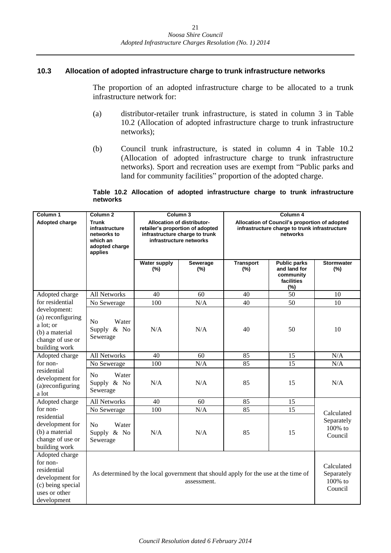### <span id="page-20-0"></span>**10.3 Allocation of adopted infrastructure charge to trunk infrastructure networks**

The proportion of an adopted infrastructure charge to be allocated to a trunk infrastructure network for:

- (a) distributor-retailer trunk infrastructure, is stated in column 3 in Table 10.2 (Allocation of adopted infrastructure charge to trunk infrastructure networks);
- (b) Council trunk infrastructure, is stated in column 4 in Table 10.2 (Allocation of adopted infrastructure charge to trunk infrastructure networks). Sport and recreation uses are exempt from "Public parks and land for community facilities" proportion of the adopted charge.

#### **Table 10.2 Allocation of adopted infrastructure charge to trunk infrastructure networks**

| Column 1<br>Column <sub>2</sub>                                                                                   |                                                                                                                                                     | Column 3                                                                                                                    |                 | Column 4                |                                                                                                |                                  |  |
|-------------------------------------------------------------------------------------------------------------------|-----------------------------------------------------------------------------------------------------------------------------------------------------|-----------------------------------------------------------------------------------------------------------------------------|-----------------|-------------------------|------------------------------------------------------------------------------------------------|----------------------------------|--|
| <b>Adopted charge</b>                                                                                             | <b>Trunk</b><br>infrastructure<br>networks to<br>which an<br>adopted charge<br>applies                                                              | Allocation of distributor-<br>retailer's proportion of adopted<br>infrastructure charge to trunk<br>infrastructure networks |                 |                         | Allocation of Council's proportion of adopted<br>infrastructure charge to trunk infrastructure |                                  |  |
|                                                                                                                   |                                                                                                                                                     | <b>Water supply</b><br>(%)                                                                                                  | Sewerage<br>(%) | <b>Transport</b><br>(%) | <b>Public parks</b><br>and land for<br>community<br>facilities<br>(%)                          | <b>Stormwater</b><br>(%)         |  |
| Adopted charge                                                                                                    | <b>All Networks</b>                                                                                                                                 | 40                                                                                                                          | 60              | 40                      | $\overline{50}$                                                                                | 10                               |  |
| for residential                                                                                                   | No Sewerage                                                                                                                                         | 100                                                                                                                         | N/A             | 40                      | 50                                                                                             | 10                               |  |
| development:<br>(a) reconfiguring<br>a lot; or<br>(b) a material<br>change of use or<br>building work             | N <sub>o</sub><br>Water<br>Supply & No<br>Sewerage                                                                                                  | N/A                                                                                                                         | N/A             | 40                      | 50                                                                                             | 10                               |  |
| Adopted charge                                                                                                    | All Networks                                                                                                                                        | 40                                                                                                                          | 60              | 85                      | 15                                                                                             | N/A                              |  |
| for non-                                                                                                          | No Sewerage                                                                                                                                         | 100                                                                                                                         | N/A             | 85                      | 15                                                                                             | N/A                              |  |
| residential<br>development for<br>(a)reconfiguring<br>a lot                                                       | No<br>Water<br>Supply & No<br>Sewerage                                                                                                              | N/A                                                                                                                         | N/A             | 85                      | 15                                                                                             | N/A                              |  |
| Adopted charge                                                                                                    | <b>All Networks</b>                                                                                                                                 | 40                                                                                                                          | 60              | 85                      | 15                                                                                             |                                  |  |
| for non-                                                                                                          | No Sewerage                                                                                                                                         | 100                                                                                                                         | N/A             | 85                      | 15                                                                                             | Calculated                       |  |
| residential<br>development for<br>(b) a material<br>change of use or<br>building work                             | N <sub>o</sub><br>Water<br>Supply & No<br>Sewerage                                                                                                  | N/A                                                                                                                         | N/A             | 85                      | 15                                                                                             | Separately<br>100% to<br>Council |  |
| Adopted charge<br>for non-<br>residential<br>development for<br>(c) being special<br>uses or other<br>development | Calculated<br>As determined by the local government that should apply for the use at the time of<br>Separately<br>100% to<br>assessment.<br>Council |                                                                                                                             |                 |                         |                                                                                                |                                  |  |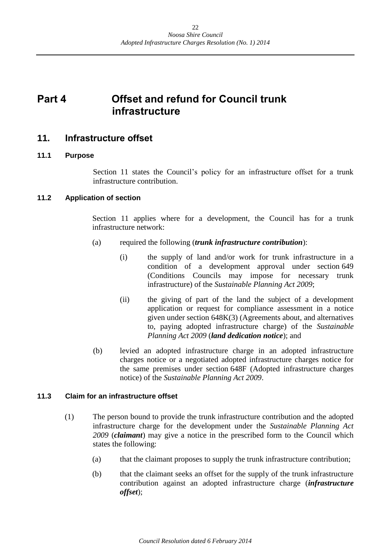# <span id="page-21-0"></span>**Part 4 Offset and refund for Council trunk infrastructure**

### <span id="page-21-1"></span>**11. Infrastructure offset**

### <span id="page-21-2"></span>**11.1 Purpose**

Section 11 states the Council's policy for an infrastructure offset for a trunk infrastructure contribution.

### <span id="page-21-3"></span>**11.2 Application of section**

Section 11 applies where for a development, the Council has for a trunk infrastructure network:

- (a) required the following (*trunk infrastructure contribution*):
	- (i) the supply of land and/or work for trunk infrastructure in a condition of a development approval under section 649 (Conditions Councils may impose for necessary trunk infrastructure) of the *Sustainable Planning Act 2009*;
	- (ii) the giving of part of the land the subject of a development application or request for compliance assessment in a notice given under section 648K(3) (Agreements about, and alternatives to, paying adopted infrastructure charge) of the *Sustainable Planning Act 2009* (*land dedication notice*); and
- (b) levied an adopted infrastructure charge in an adopted infrastructure charges notice or a negotiated adopted infrastructure charges notice for the same premises under section 648F (Adopted infrastructure charges notice) of the *Sustainable Planning Act 2009*.

### <span id="page-21-4"></span>**11.3 Claim for an infrastructure offset**

- (1) The person bound to provide the trunk infrastructure contribution and the adopted infrastructure charge for the development under the *Sustainable Planning Act 2009* (*claimant*) may give a notice in the prescribed form to the Council which states the following:
	- (a) that the claimant proposes to supply the trunk infrastructure contribution;
	- (b) that the claimant seeks an offset for the supply of the trunk infrastructure contribution against an adopted infrastructure charge (*infrastructure offset*);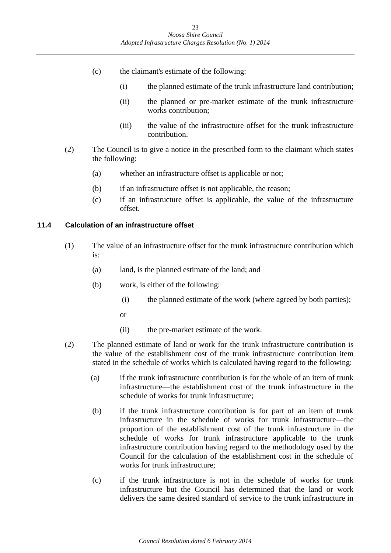- (c) the claimant's estimate of the following:
	- (i) the planned estimate of the trunk infrastructure land contribution;
	- (ii) the planned or pre-market estimate of the trunk infrastructure works contribution;
	- (iii) the value of the infrastructure offset for the trunk infrastructure contribution.
- (2) The Council is to give a notice in the prescribed form to the claimant which states the following:
	- (a) whether an infrastructure offset is applicable or not;
	- (b) if an infrastructure offset is not applicable, the reason;
	- (c) if an infrastructure offset is applicable, the value of the infrastructure offset.

### <span id="page-22-0"></span>**11.4 Calculation of an infrastructure offset**

- (1) The value of an infrastructure offset for the trunk infrastructure contribution which is:
	- (a) land, is the planned estimate of the land; and
	- (b) work, is either of the following:
		- (i) the planned estimate of the work (where agreed by both parties);
		- or
		- (ii) the pre-market estimate of the work.
- (2) The planned estimate of land or work for the trunk infrastructure contribution is the value of the establishment cost of the trunk infrastructure contribution item stated in the schedule of works which is calculated having regard to the following:
	- (a) if the trunk infrastructure contribution is for the whole of an item of trunk infrastructure—the establishment cost of the trunk infrastructure in the schedule of works for trunk infrastructure;
	- (b) if the trunk infrastructure contribution is for part of an item of trunk infrastructure in the schedule of works for trunk infrastructure—the proportion of the establishment cost of the trunk infrastructure in the schedule of works for trunk infrastructure applicable to the trunk infrastructure contribution having regard to the methodology used by the Council for the calculation of the establishment cost in the schedule of works for trunk infrastructure;
	- (c) if the trunk infrastructure is not in the schedule of works for trunk infrastructure but the Council has determined that the land or work delivers the same desired standard of service to the trunk infrastructure in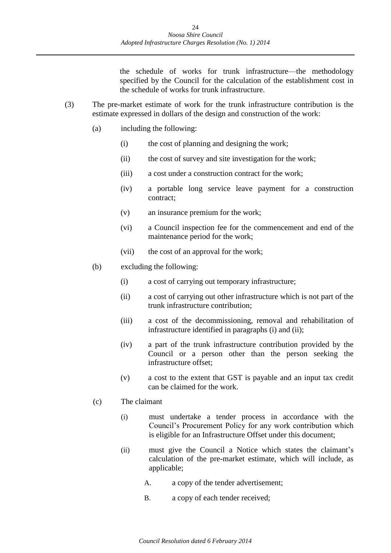the schedule of works for trunk infrastructure—the methodology specified by the Council for the calculation of the establishment cost in the schedule of works for trunk infrastructure.

- (3) The pre-market estimate of work for the trunk infrastructure contribution is the estimate expressed in dollars of the design and construction of the work:
	- (a) including the following:
		- (i) the cost of planning and designing the work;
		- (ii) the cost of survey and site investigation for the work;
		- (iii) a cost under a construction contract for the work;
		- (iv) a portable long service leave payment for a construction contract;
		- (v) an insurance premium for the work;
		- (vi) a Council inspection fee for the commencement and end of the maintenance period for the work;
		- (vii) the cost of an approval for the work;
	- (b) excluding the following:
		- (i) a cost of carrying out temporary infrastructure;
		- (ii) a cost of carrying out other infrastructure which is not part of the trunk infrastructure contribution;
		- (iii) a cost of the decommissioning, removal and rehabilitation of infrastructure identified in paragraphs (i) and (ii);
		- (iv) a part of the trunk infrastructure contribution provided by the Council or a person other than the person seeking the infrastructure offset;
		- (v) a cost to the extent that GST is payable and an input tax credit can be claimed for the work.

### (c) The claimant

- (i) must undertake a tender process in accordance with the Council's Procurement Policy for any work contribution which is eligible for an Infrastructure Offset under this document;
- (ii) must give the Council a Notice which states the claimant's calculation of the pre-market estimate, which will include, as applicable;
	- A. a copy of the tender advertisement;
	- B. a copy of each tender received;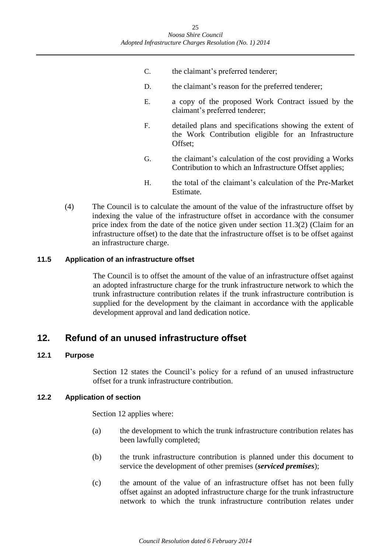- C. the claimant's preferred tenderer;
- D. the claimant's reason for the preferred tenderer;
- E. a copy of the proposed Work Contract issued by the claimant's preferred tenderer;
- F. detailed plans and specifications showing the extent of the Work Contribution eligible for an Infrastructure Offset;
- G. the claimant's calculation of the cost providing a Works Contribution to which an Infrastructure Offset applies;
- H. the total of the claimant's calculation of the Pre-Market Estimate.
- (4) The Council is to calculate the amount of the value of the infrastructure offset by indexing the value of the infrastructure offset in accordance with the consumer price index from the date of the notice given under section 11.3(2) (Claim for an infrastructure offset) to the date that the infrastructure offset is to be offset against an infrastructure charge.

### <span id="page-24-0"></span>**11.5 Application of an infrastructure offset**

The Council is to offset the amount of the value of an infrastructure offset against an adopted infrastructure charge for the trunk infrastructure network to which the trunk infrastructure contribution relates if the trunk infrastructure contribution is supplied for the development by the claimant in accordance with the applicable development approval and land dedication notice.

### <span id="page-24-1"></span>**12. Refund of an unused infrastructure offset**

### <span id="page-24-2"></span>**12.1 Purpose**

Section 12 states the Council's policy for a refund of an unused infrastructure offset for a trunk infrastructure contribution.

### <span id="page-24-3"></span>**12.2 Application of section**

Section 12 applies where:

- (a) the development to which the trunk infrastructure contribution relates has been lawfully completed;
- (b) the trunk infrastructure contribution is planned under this document to service the development of other premises (*serviced premises*);
- (c) the amount of the value of an infrastructure offset has not been fully offset against an adopted infrastructure charge for the trunk infrastructure network to which the trunk infrastructure contribution relates under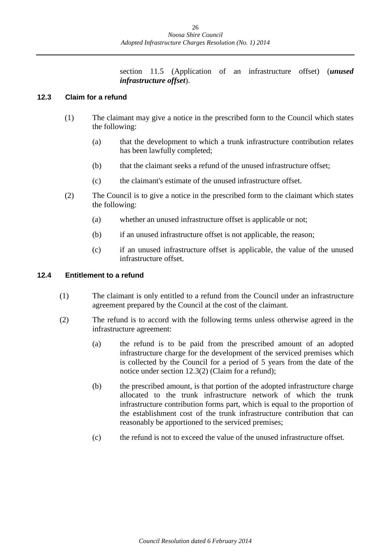section 11.5 (Application of an infrastructure offset) (*unused infrastructure offset*).

### <span id="page-25-0"></span>**12.3 Claim for a refund**

- (1) The claimant may give a notice in the prescribed form to the Council which states the following:
	- (a) that the development to which a trunk infrastructure contribution relates has been lawfully completed;
	- (b) that the claimant seeks a refund of the unused infrastructure offset;
	- (c) the claimant's estimate of the unused infrastructure offset.
- (2) The Council is to give a notice in the prescribed form to the claimant which states the following:
	- (a) whether an unused infrastructure offset is applicable or not;
	- (b) if an unused infrastructure offset is not applicable, the reason;
	- (c) if an unused infrastructure offset is applicable, the value of the unused infrastructure offset.

### <span id="page-25-1"></span>**12.4 Entitlement to a refund**

- (1) The claimant is only entitled to a refund from the Council under an infrastructure agreement prepared by the Council at the cost of the claimant.
- (2) The refund is to accord with the following terms unless otherwise agreed in the infrastructure agreement:
	- (a) the refund is to be paid from the prescribed amount of an adopted infrastructure charge for the development of the serviced premises which is collected by the Council for a period of 5 years from the date of the notice under section 12.3(2) (Claim for a refund);
	- (b) the prescribed amount, is that portion of the adopted infrastructure charge allocated to the trunk infrastructure network of which the trunk infrastructure contribution forms part, which is equal to the proportion of the establishment cost of the trunk infrastructure contribution that can reasonably be apportioned to the serviced premises;
	- (c) the refund is not to exceed the value of the unused infrastructure offset.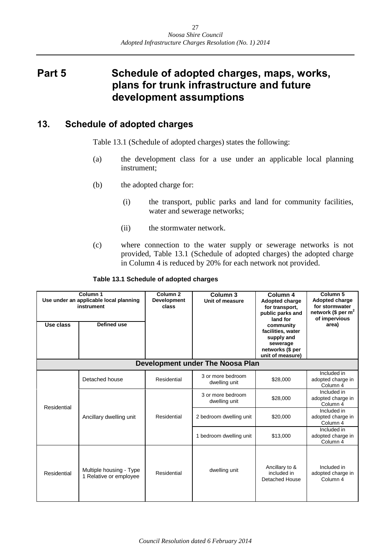# <span id="page-26-0"></span>**Part 5 Schedule of adopted charges, maps, works, plans for trunk infrastructure and future development assumptions**

### <span id="page-26-1"></span>**13. Schedule of adopted charges**

Table 13.1 (Schedule of adopted charges) states the following:

- (a) the development class for a use under an applicable local planning instrument;
- (b) the adopted charge for:
	- (i) the transport, public parks and land for community facilities, water and sewerage networks;
	- (ii) the stormwater network.
- (c) where connection to the water supply or sewerage networks is not provided, Table 13.1 (Schedule of adopted charges) the adopted charge in Column 4 is reduced by 20% for each network not provided.

| Column 1<br>Use under an applicable local planning<br>instrument<br>Defined use<br>Use class |                                                   | Column 2<br><b>Development</b><br>class | Column 3<br>Unit of measure        | Column 4<br><b>Adopted charge</b><br>for transport,<br>public parks and<br>land for<br>community<br>facilities, water<br>supply and<br>sewerage<br>networks (\$ per | Column 5<br><b>Adopted charge</b><br>for stormwater<br>network (\$ per $m2$<br>of impervious<br>area) |
|----------------------------------------------------------------------------------------------|---------------------------------------------------|-----------------------------------------|------------------------------------|---------------------------------------------------------------------------------------------------------------------------------------------------------------------|-------------------------------------------------------------------------------------------------------|
|                                                                                              |                                                   |                                         |                                    | unit of measure)                                                                                                                                                    |                                                                                                       |
|                                                                                              |                                                   |                                         | Development under The Noosa Plan   |                                                                                                                                                                     |                                                                                                       |
|                                                                                              | Detached house                                    | Residential                             | 3 or more bedroom<br>dwelling unit | \$28,000                                                                                                                                                            | Included in<br>adopted charge in<br>Column 4                                                          |
|                                                                                              | Ancillary dwelling unit                           | Residential                             | 3 or more bedroom<br>dwelling unit | \$28,000                                                                                                                                                            | Included in<br>adopted charge in<br>Column 4                                                          |
| Residential                                                                                  |                                                   |                                         | 2 bedroom dwelling unit            | \$20,000                                                                                                                                                            | Included in<br>adopted charge in<br>Column 4                                                          |
|                                                                                              |                                                   |                                         | 1 bedroom dwelling unit            | \$13,000                                                                                                                                                            | Included in<br>adopted charge in<br>Column 4                                                          |
| Residential                                                                                  | Multiple housing - Type<br>1 Relative or employee | Residential                             | dwelling unit                      | Ancillary to &<br>included in<br>Detached House                                                                                                                     | Included in<br>adopted charge in<br>Column 4                                                          |

#### **Table 13.1 Schedule of adopted charges**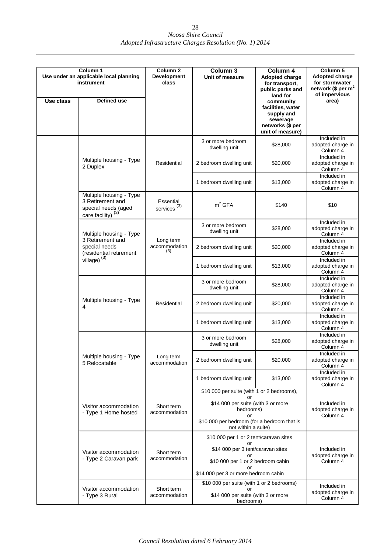| Use class | Column 1<br>Use under an applicable local planning<br>instrument<br>Defined use                     | Column <sub>2</sub><br><b>Development</b><br>class | Column 3<br>Unit of measure                                                                                                                                                | Column 4<br>Adopted charge<br>for transport,<br>public parks and<br>land for<br>community<br>facilities, water<br>supply and<br>sewerage<br>networks (\$ per | Column <sub>5</sub><br>Adopted charge<br>for stormwater<br>network (\$ per $m2$<br>of impervious<br>area) |
|-----------|-----------------------------------------------------------------------------------------------------|----------------------------------------------------|----------------------------------------------------------------------------------------------------------------------------------------------------------------------------|--------------------------------------------------------------------------------------------------------------------------------------------------------------|-----------------------------------------------------------------------------------------------------------|
|           |                                                                                                     |                                                    |                                                                                                                                                                            | unit of measure)                                                                                                                                             |                                                                                                           |
|           |                                                                                                     |                                                    | 3 or more bedroom<br>dwelling unit                                                                                                                                         | \$28,000                                                                                                                                                     | Included in<br>adopted charge in<br>Column 4                                                              |
|           | Multiple housing - Type<br>2 Duplex                                                                 | Residential                                        | 2 bedroom dwelling unit                                                                                                                                                    | \$20,000                                                                                                                                                     | Included in<br>adopted charge in<br>Column 4                                                              |
|           |                                                                                                     |                                                    | 1 bedroom dwelling unit                                                                                                                                                    | \$13,000                                                                                                                                                     | Included in<br>adopted charge in<br>Column 4                                                              |
|           | Multiple housing - Type<br>3 Retirement and<br>special needs (aged<br>care facility) <sup>(3)</sup> | Essential<br>services <sup>(3)</sup>               | m <sup>2</sup> GFA                                                                                                                                                         | \$140                                                                                                                                                        | \$10                                                                                                      |
|           | Multiple housing - Type                                                                             |                                                    | 3 or more bedroom<br>dwelling unit                                                                                                                                         | \$28,000                                                                                                                                                     | Included in<br>adopted charge in<br>Column 4                                                              |
|           | 3 Retirement and<br>special needs<br>(residential retirement                                        | Long term<br>accommodation<br>(3)                  | 2 bedroom dwelling unit                                                                                                                                                    | \$20,000                                                                                                                                                     | Included in<br>adopted charge in<br>Column 4                                                              |
|           | village) $^{(3)}$                                                                                   |                                                    | 1 bedroom dwelling unit                                                                                                                                                    | \$13,000                                                                                                                                                     | Included in<br>adopted charge in<br>Column 4                                                              |
|           |                                                                                                     |                                                    | 3 or more bedroom<br>dwelling unit                                                                                                                                         | \$28,000                                                                                                                                                     | Included in<br>adopted charge in<br>Column 4                                                              |
|           | Multiple housing - Type<br>4                                                                        | Residential                                        | 2 bedroom dwelling unit                                                                                                                                                    | \$20,000                                                                                                                                                     | Included in<br>adopted charge in<br>Column 4                                                              |
|           |                                                                                                     |                                                    | 1 bedroom dwelling unit                                                                                                                                                    | \$13,000                                                                                                                                                     | Included in<br>adopted charge in<br>Column 4                                                              |
|           |                                                                                                     |                                                    | 3 or more bedroom<br>dwelling unit                                                                                                                                         | \$28,000                                                                                                                                                     | Included in<br>adopted charge in<br>Column 4                                                              |
|           | Multiple housing - Type<br>5 Relocatable                                                            | Long term<br>accommodation                         | 2 bedroom dwelling unit                                                                                                                                                    | \$20,000                                                                                                                                                     | Included in<br>adopted charge in<br>Column 4                                                              |
|           |                                                                                                     |                                                    | 1 bedroom dwelling unit                                                                                                                                                    | \$13,000                                                                                                                                                     | Included in<br>adopted charge in<br>Column 4                                                              |
|           |                                                                                                     |                                                    | \$10 000 per suite (with 1 or 2 bedrooms),                                                                                                                                 |                                                                                                                                                              |                                                                                                           |
|           | Visitor accommodation<br>- Type 1 Home hosted                                                       | Short term<br>accommodation                        | \$14 000 per suite (with 3 or more<br>bedrooms)<br>or<br>\$10 000 per bedroom (for a bedroom that is                                                                       |                                                                                                                                                              | Included in<br>adopted charge in<br>Column 4                                                              |
|           |                                                                                                     |                                                    | not within a suite)                                                                                                                                                        |                                                                                                                                                              |                                                                                                           |
|           | Visitor accommodation<br>- Type 2 Caravan park                                                      | Short term<br>accommodation                        | \$10 000 per 1 or 2 tent/caravan sites<br>or<br>\$14 000 per 3 tent/caravan sites<br>or<br>\$10 000 per 1 or 2 bedroom cabin<br>or<br>\$14 000 per 3 or more bedroom cabin |                                                                                                                                                              | Included in<br>adopted charge in<br>Column 4                                                              |
|           |                                                                                                     |                                                    | \$10 000 per suite (with 1 or 2 bedrooms)                                                                                                                                  |                                                                                                                                                              |                                                                                                           |
|           | Visitor accommodation<br>- Type 3 Rural                                                             | Short term<br>accommodation                        | nr<br>\$14 000 per suite (with 3 or more<br>bedrooms)                                                                                                                      |                                                                                                                                                              | Included in<br>adopted charge in<br>Column 4                                                              |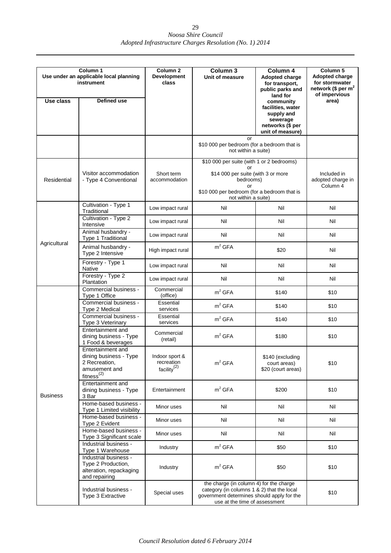| Column <sub>1</sub>                                  |                                                                                                         | Column <sub>2</sub>                                     | Column 3                                                                                                                                                             | Column 4                                                             | Column 5                                                 |
|------------------------------------------------------|---------------------------------------------------------------------------------------------------------|---------------------------------------------------------|----------------------------------------------------------------------------------------------------------------------------------------------------------------------|----------------------------------------------------------------------|----------------------------------------------------------|
| Use under an applicable local planning<br>instrument |                                                                                                         | <b>Development</b><br>class                             | Unit of measure                                                                                                                                                      | Adopted charge<br>for transport,<br>public parks and                 | Adopted charge<br>for stormwater<br>network (\$ per $m2$ |
| Use class                                            | Defined use                                                                                             |                                                         |                                                                                                                                                                      | land for<br>community<br>facilities, water<br>supply and<br>sewerage | of impervious<br>area)                                   |
|                                                      |                                                                                                         |                                                         |                                                                                                                                                                      | networks (\$ per<br>unit of measure)                                 |                                                          |
|                                                      |                                                                                                         |                                                         | or<br>\$10 000 per bedroom (for a bedroom that is<br>not within a suite)                                                                                             |                                                                      |                                                          |
|                                                      |                                                                                                         |                                                         | \$10 000 per suite (with 1 or 2 bedrooms)<br>or                                                                                                                      |                                                                      |                                                          |
| Residential                                          | Visitor accommodation<br>- Type 4 Conventional                                                          | Short term<br>accommodation                             | \$14 000 per suite (with 3 or more<br>bedrooms)<br>or                                                                                                                |                                                                      | Included in<br>adopted charge in<br>Column 4             |
|                                                      |                                                                                                         |                                                         | \$10 000 per bedroom (for a bedroom that is<br>not within a suite)                                                                                                   |                                                                      |                                                          |
|                                                      | Cultivation - Type 1<br>Traditional                                                                     | Low impact rural                                        | Nil                                                                                                                                                                  | Nil                                                                  | Nil                                                      |
|                                                      | Cultivation - Type 2<br>Intensive                                                                       | Low impact rural                                        | Nil                                                                                                                                                                  | Nil                                                                  | Nil                                                      |
|                                                      | Animal husbandry -<br>Type 1 Traditional                                                                | Low impact rural                                        | Nil                                                                                                                                                                  | Nil                                                                  | Nil                                                      |
| Agricultural                                         | Animal husbandry -<br>Type 2 Intensive                                                                  | High impact rural                                       | m <sup>2</sup> GFA                                                                                                                                                   | \$20                                                                 | Nil                                                      |
|                                                      | Forestry - Type 1<br>Native                                                                             | Low impact rural                                        | Nil                                                                                                                                                                  | Nil                                                                  | Nil                                                      |
|                                                      | Forestry - Type 2<br>Plantation                                                                         | Low impact rural                                        | Nil                                                                                                                                                                  | Nil                                                                  | Nil                                                      |
|                                                      | Commercial business -<br>Type 1 Office                                                                  | Commercial<br>(office)                                  | m <sup>2</sup> GFA                                                                                                                                                   | \$140                                                                | \$10                                                     |
|                                                      | Commercial business -<br>Type 2 Medical                                                                 | Essential<br>services                                   | m <sup>2</sup> GFA                                                                                                                                                   | \$140                                                                | \$10                                                     |
|                                                      | Commercial business -<br>Type 3 Veterinary                                                              | Essential<br>services                                   | m <sup>2</sup> GFA                                                                                                                                                   | \$140                                                                | \$10                                                     |
|                                                      | Entertainment and<br>dining business - Type<br>1 Food & beverages                                       | Commercial<br>(retail)                                  | m <sup>2</sup> GFA                                                                                                                                                   | \$180                                                                | \$10                                                     |
|                                                      | Entertainment and<br>dining business - Type<br>2 Recreation,<br>amusement and<br>fitness <sup>(2)</sup> | Indoor sport &<br>recreation<br>facility <sup>(2)</sup> | m <sup>2</sup> GFA                                                                                                                                                   | \$140 (excluding<br>court areas)<br>\$20 (court areas)               | \$10                                                     |
| <b>Business</b>                                      | Entertainment and<br>dining business - Type<br>3 Bar                                                    | Entertainment                                           | m <sup>2</sup> GFA                                                                                                                                                   | \$200                                                                | \$10                                                     |
|                                                      | Home-based business -<br>Type 1 Limited visibility                                                      | Minor uses                                              | Nil                                                                                                                                                                  | Nil                                                                  | Nil                                                      |
|                                                      | Home-based business -<br>Type 2 Evident                                                                 | Minor uses                                              | Nil                                                                                                                                                                  | Nil                                                                  | Nil                                                      |
|                                                      | Home-based business -<br>Type 3 Significant scale                                                       | Minor uses                                              | Nil                                                                                                                                                                  | Nil                                                                  | Nil                                                      |
|                                                      | Industrial business -<br>Type 1 Warehouse                                                               | Industry                                                | m <sup>2</sup> GFA                                                                                                                                                   | \$50                                                                 | \$10                                                     |
|                                                      | Industrial business -<br>Type 2 Production,<br>alteration, repackaging<br>and repairing                 | Industry                                                | m <sup>2</sup> GFA                                                                                                                                                   | \$50                                                                 | \$10                                                     |
|                                                      | Industrial business -<br>Type 3 Extractive                                                              | Special uses                                            | the charge (in column 4) for the charge<br>category (in columns 1 & 2) that the local<br>government determines should apply for the<br>use at the time of assessment | \$10                                                                 |                                                          |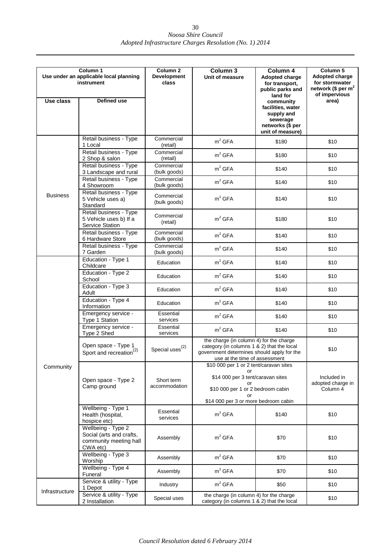| Column <sub>1</sub><br>Use under an applicable local planning<br>instrument |                                                                                      | Column <sub>2</sub><br><b>Development</b><br>class | Column 3<br>Unit of measure                                                                                                                                                | Column 4<br><b>Adopted charge</b><br>for transport,                                                                              | Column 5<br>Adopted charge<br>for stormwater   |
|-----------------------------------------------------------------------------|--------------------------------------------------------------------------------------|----------------------------------------------------|----------------------------------------------------------------------------------------------------------------------------------------------------------------------------|----------------------------------------------------------------------------------------------------------------------------------|------------------------------------------------|
| Use class                                                                   | <b>Defined use</b>                                                                   |                                                    |                                                                                                                                                                            | public parks and<br>land for<br>community<br>facilities, water<br>supply and<br>sewerage<br>networks (\$ per<br>unit of measure) | network (\$ per $m2$<br>of impervious<br>area) |
|                                                                             | Retail business - Type<br>1 Local                                                    | Commercial<br>(retail)                             | m <sup>2</sup> GFA                                                                                                                                                         | \$180                                                                                                                            | \$10                                           |
|                                                                             | Retail business - Type<br>2 Shop & salon                                             | Commercial<br>(retail)                             | m <sup>2</sup> GFA                                                                                                                                                         | \$180                                                                                                                            | \$10                                           |
|                                                                             | Retail business - Type<br>3 Landscape and rural                                      | Commercial<br>(bulk goods)                         | m <sup>2</sup> GFA                                                                                                                                                         | \$140                                                                                                                            | \$10                                           |
|                                                                             | Retail business - Type<br>4 Showroom                                                 | Commercial<br>(bulk goods)                         | m <sup>2</sup> GFA                                                                                                                                                         | \$140                                                                                                                            | \$10                                           |
| <b>Business</b>                                                             | Retail business - Type<br>5 Vehicle uses a)<br>Standard                              | Commercial<br>(bulk goods)                         | m <sup>2</sup> GFA                                                                                                                                                         | \$140                                                                                                                            | \$10                                           |
|                                                                             | Retail business - Type<br>5 Vehicle uses b) If a<br><b>Service Station</b>           | Commercial<br>(retail)                             | m <sup>2</sup> GFA                                                                                                                                                         | \$180                                                                                                                            | \$10                                           |
|                                                                             | Retail business - Type<br>6 Hardware Store                                           | Commercial<br>(bulk goods)                         | m <sup>2</sup> GFA                                                                                                                                                         | \$140                                                                                                                            | \$10                                           |
|                                                                             | Retail business - Type<br>7 Garden                                                   | Commercial<br>(bulk goods)                         | m <sup>2</sup> GFA                                                                                                                                                         | \$140                                                                                                                            | \$10                                           |
|                                                                             | Education - Type 1<br>Childcare                                                      | Education                                          | m <sup>2</sup> GFA                                                                                                                                                         | \$140                                                                                                                            | \$10                                           |
|                                                                             | Education - Type 2<br>School                                                         | Education                                          | m <sup>2</sup> GFA                                                                                                                                                         | \$140                                                                                                                            | \$10                                           |
|                                                                             | Education - Type 3<br>Adult                                                          | Education                                          | m <sup>2</sup> GFA                                                                                                                                                         | \$140                                                                                                                            | \$10                                           |
|                                                                             | Education - Type 4<br>Information                                                    | Education                                          | m <sup>2</sup> GFA                                                                                                                                                         | \$140                                                                                                                            | \$10                                           |
|                                                                             | Emergency service -<br>Type 1 Station                                                | Essential<br>services                              | m <sup>2</sup> GFA                                                                                                                                                         | \$140                                                                                                                            | \$10                                           |
|                                                                             | Emergency service -<br>Type 2 Shed                                                   | Essential<br>services                              | m <sup>2</sup> GFA                                                                                                                                                         | \$140                                                                                                                            | \$10                                           |
|                                                                             | Open space - Type 1<br>Sport and recreation <sup>(2)</sup>                           | Special uses $^{(2)}$                              | the charge (in column 4) for the charge<br>category (in columns 1 & 2) that the local<br>government determines should apply for the<br>use at the time of assessment       |                                                                                                                                  | \$10                                           |
| Community                                                                   | Open space - Type 2<br>Camp ground                                                   | Short term<br>accommodation                        | \$10 000 per 1 or 2 tent/caravan sites<br>or<br>\$14 000 per 3 tent/caravan sites<br>or<br>\$10 000 per 1 or 2 bedroom cabin<br>or<br>\$14 000 per 3 or more bedroom cabin |                                                                                                                                  | Included in<br>adopted charge in<br>Column 4   |
|                                                                             | Wellbeing - Type 1<br>Health (hospital,<br>hospice etc)                              | Essential<br>services                              | m <sup>2</sup> GFA                                                                                                                                                         | \$140                                                                                                                            | \$10                                           |
|                                                                             | Wellbeing - Type 2<br>Social (arts and crafts,<br>community meeting hall<br>CWA etc) | Assembly                                           | m <sup>2</sup> GFA                                                                                                                                                         | \$70                                                                                                                             | \$10                                           |
|                                                                             | Wellbeing - Type 3<br>Worship                                                        | Assembly                                           | m <sup>2</sup> GFA                                                                                                                                                         | \$70                                                                                                                             | \$10                                           |
|                                                                             | Wellbeing - Type 4<br>Funeral                                                        | Assembly                                           | m <sup>2</sup> GFA                                                                                                                                                         | \$70                                                                                                                             | \$10                                           |
|                                                                             | Service & utility - Type<br>1 Depot                                                  | Industry                                           | m <sup>2</sup> GFA                                                                                                                                                         | \$50                                                                                                                             | \$10                                           |
| Infrastructure                                                              | Service & utility - Type<br>2 Installation                                           | Special uses                                       | the charge (in column 4) for the charge<br>category (in columns 1 & 2) that the local                                                                                      |                                                                                                                                  | \$10                                           |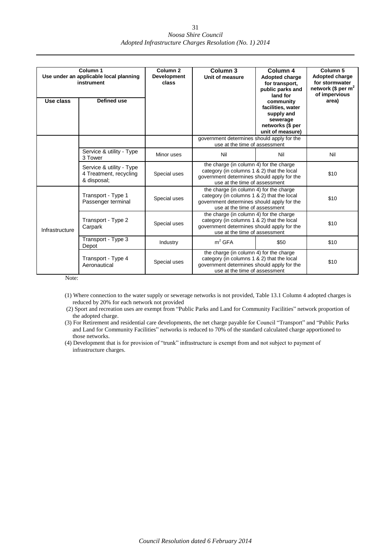|                | Column 1<br>Use under an applicable local planning<br>instrument  | Column <sub>2</sub><br><b>Development</b><br>class | Column <sub>3</sub><br>Unit of measure                                                                                                                               | Column 4<br>Adopted charge<br>for transport,<br>public parks and<br>land for                                                                                         | Column <sub>5</sub><br>Adopted charge<br>for stormwater<br>network (\$ per $m2$<br>of impervious |
|----------------|-------------------------------------------------------------------|----------------------------------------------------|----------------------------------------------------------------------------------------------------------------------------------------------------------------------|----------------------------------------------------------------------------------------------------------------------------------------------------------------------|--------------------------------------------------------------------------------------------------|
| Use class      | Defined use                                                       |                                                    |                                                                                                                                                                      | community<br>facilities, water<br>supply and<br>sewerage<br>networks (\$ per<br>unit of measure)                                                                     | area)                                                                                            |
|                |                                                                   |                                                    | government determines should apply for the<br>use at the time of assessment                                                                                          |                                                                                                                                                                      |                                                                                                  |
|                | Service & utility - Type<br>3 Tower                               | Minor uses                                         | Nil<br>Nil                                                                                                                                                           |                                                                                                                                                                      | Nil                                                                                              |
|                | Service & utility - Type<br>4 Treatment, recycling<br>& disposal; | Special uses                                       | the charge (in column 4) for the charge<br>category (in columns 1 & 2) that the local<br>government determines should apply for the<br>use at the time of assessment |                                                                                                                                                                      | \$10                                                                                             |
|                | Transport - Type 1<br>Passenger terminal                          | Special uses                                       | the charge (in column 4) for the charge<br>category (in columns 1 & 2) that the local<br>government determines should apply for the<br>use at the time of assessment |                                                                                                                                                                      | \$10                                                                                             |
| Infrastructure | Transport - Type 2<br>Special uses<br>Carpark                     |                                                    | the charge (in column 4) for the charge<br>category (in columns 1 & 2) that the local<br>government determines should apply for the<br>use at the time of assessment |                                                                                                                                                                      | \$10                                                                                             |
|                | Transport - Type 3<br>Depot                                       | Industry                                           | $m2$ GFA                                                                                                                                                             | \$50                                                                                                                                                                 | \$10                                                                                             |
|                | Transport - Type 4<br>Aeronautical                                | Special uses                                       |                                                                                                                                                                      | the charge (in column 4) for the charge<br>category (in columns 1 & 2) that the local<br>government determines should apply for the<br>use at the time of assessment |                                                                                                  |

Note:

- (1) Where connection to the water supply or sewerage networks is not provided, Table 13.1 Column 4 adopted charges is reduced by 20% for each network not provided
- (2) Sport and recreation uses are exempt from "Public Parks and Land for Community Facilities" network proportion of the adopted charge.
- (3) For Retirement and residential care developments, the net charge payable for Council "Transport" and "Public Parks and Land for Community Facilities" networks is reduced to 70% of the standard calculated charge apportioned to those networks.
- (4) Development that is for provision of "trunk" infrastructure is exempt from and not subject to payment of infrastructure charges.